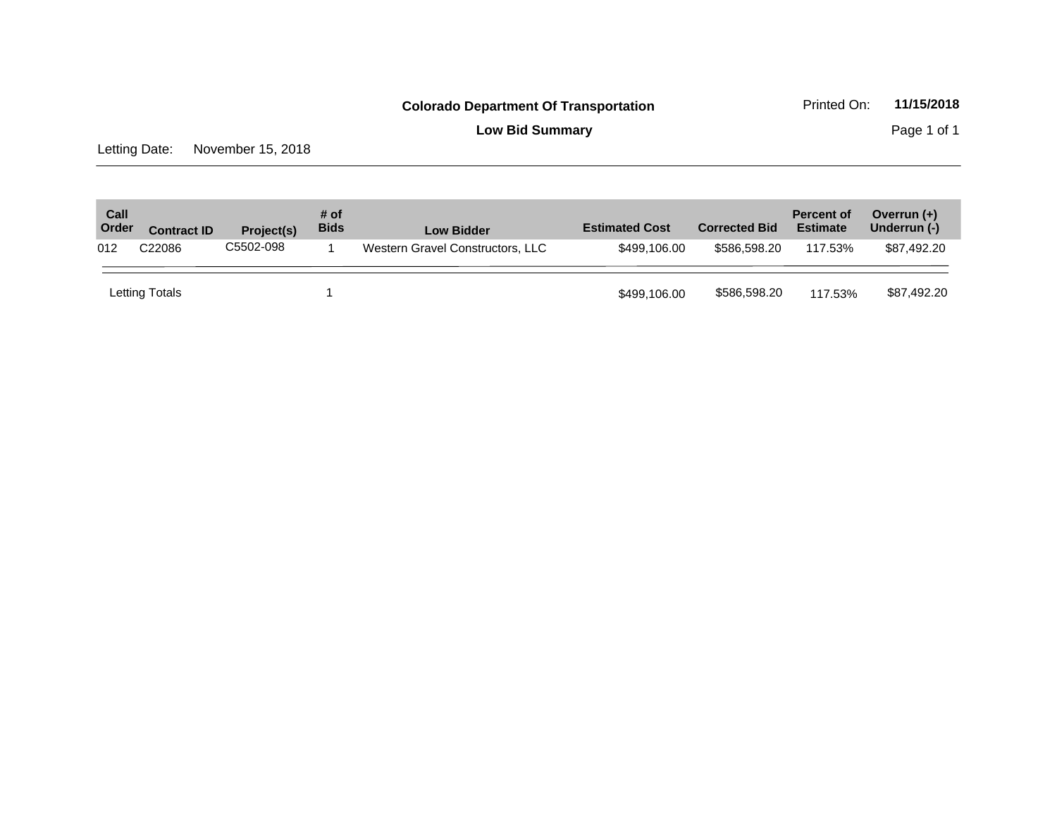**Low Bid Summary** Page 1 of 1

Letting Date: November 15, 2018

| Call<br>Order | <b>Contract ID</b>                                                  | Project(s) | $#$ of<br><b>Bids</b> | <b>Low Bidder</b> | <b>Estimated Cost</b> | <b>Corrected Bid</b> | <b>Percent of</b><br><b>Estimate</b> | Overrun $(+)$<br>Underrun (-) |
|---------------|---------------------------------------------------------------------|------------|-----------------------|-------------------|-----------------------|----------------------|--------------------------------------|-------------------------------|
| 012           | C5502-098<br>C <sub>22086</sub><br>Western Gravel Constructors, LLC |            |                       | \$499,106,00      | \$586,598,20          | 117.53%              | \$87,492.20                          |                               |
|               | Letting Totals                                                      |            |                       |                   | \$499,106.00          | \$586,598.20         | 117.53%                              | \$87,492.20                   |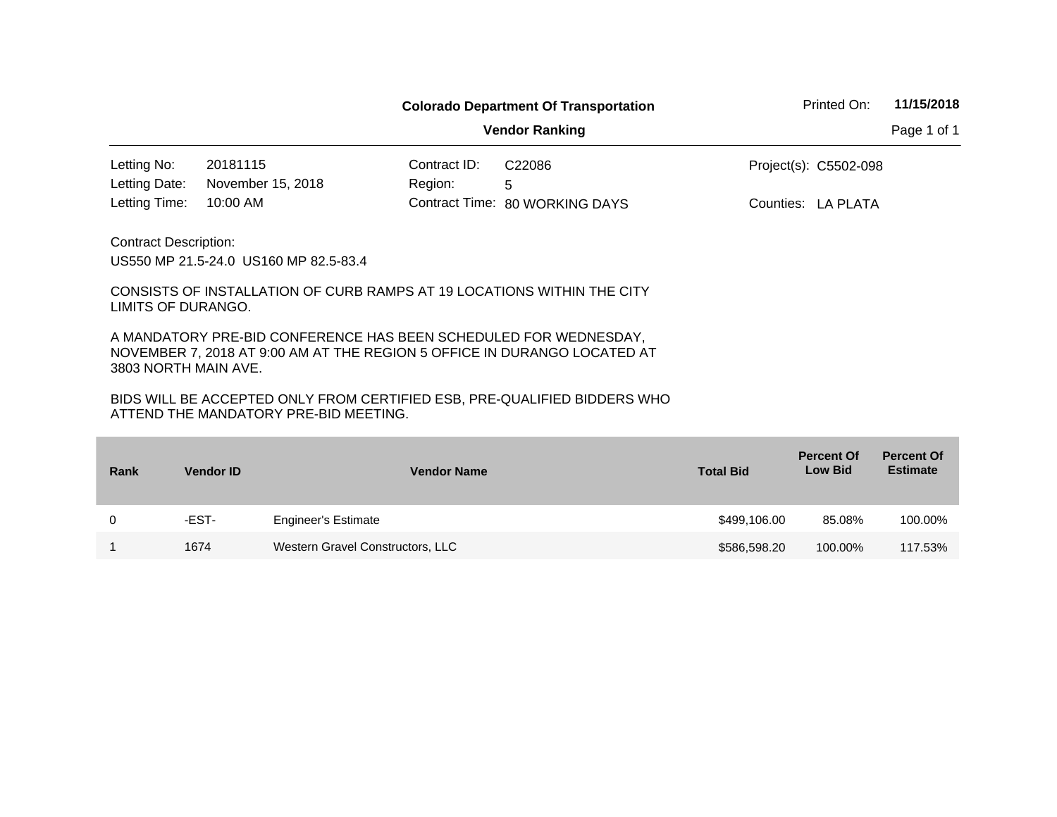|                                                    |                                                                                                                                                                                                                                                                 |              | <b>Colorado Department Of Transportation</b> | Printed On:           | 11/15/2018  |
|----------------------------------------------------|-----------------------------------------------------------------------------------------------------------------------------------------------------------------------------------------------------------------------------------------------------------------|--------------|----------------------------------------------|-----------------------|-------------|
|                                                    |                                                                                                                                                                                                                                                                 |              | <b>Vendor Ranking</b>                        |                       | Page 1 of 1 |
| Letting No:                                        | 20181115                                                                                                                                                                                                                                                        | Contract ID: | C <sub>22086</sub>                           | Project(s): C5502-098 |             |
| Letting Date:                                      | November 15, 2018                                                                                                                                                                                                                                               | Region:      | 5                                            |                       |             |
| Letting Time:                                      | $10:00$ AM                                                                                                                                                                                                                                                      |              | Contract Time: 80 WORKING DAYS               | Counties: LA PLATA    |             |
| <b>Contract Description:</b><br>LIMITS OF DURANGO. | US550 MP 21.5-24.0 US160 MP 82.5-83.4<br>CONSISTS OF INSTALLATION OF CURB RAMPS AT 19 LOCATIONS WITHIN THE CITY<br>A MANDATORY PRE-BID CONFERENCE HAS BEEN SCHEDULED FOR WEDNESDAY,<br>NOVEMBER 7, 2018 AT 9:00 AM AT THE REGION 5 OFFICE IN DURANGO LOCATED AT |              |                                              |                       |             |

| Rank | <b>Vendor ID</b> | <b>Vendor Name</b>               | <b>Total Bid</b> | <b>Percent Of</b><br><b>Low Bid</b> | <b>Percent Of</b><br><b>Estimate</b> |
|------|------------------|----------------------------------|------------------|-------------------------------------|--------------------------------------|
| 0    | -EST-            | <b>Engineer's Estimate</b>       | \$499,106.00     | 85.08%                              | 100.00%                              |
|      | 1674             | Western Gravel Constructors, LLC | \$586,598.20     | 100.00%                             | 117.53%                              |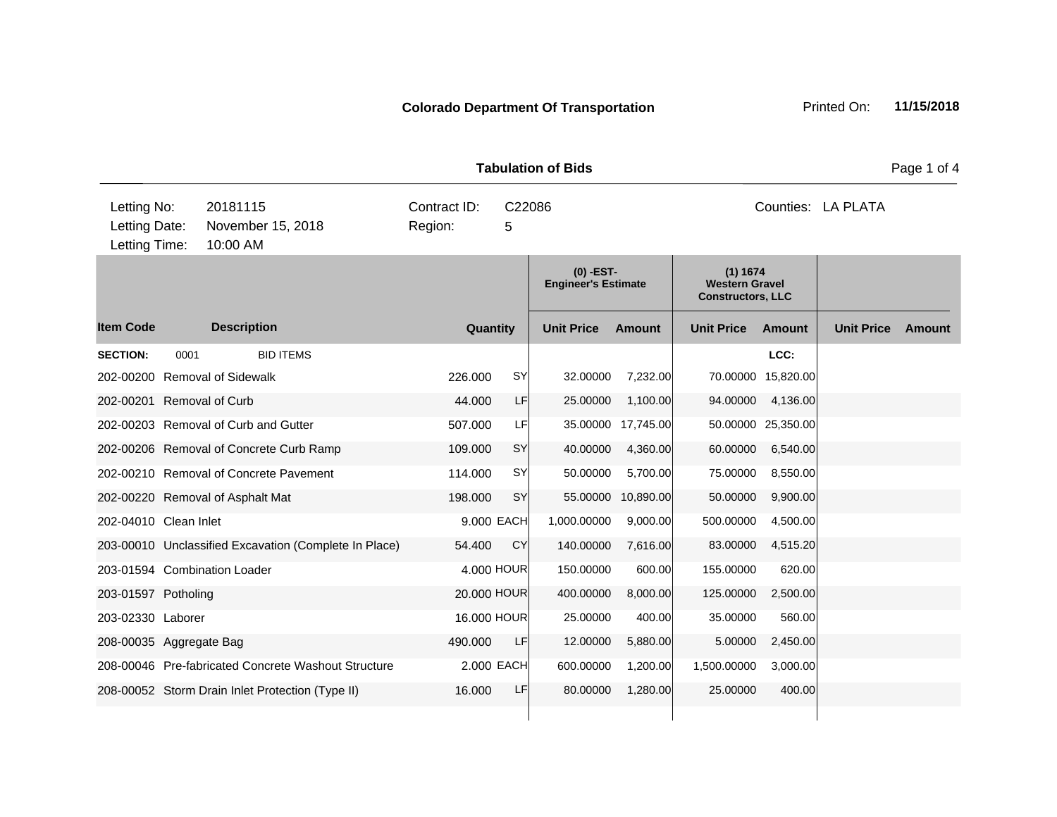**Quantity Unit Price Unit Price Item Code Amount Unit Price Amount Ext Ext Unit Price Amount Ext (0) -EST-Engineer's Estimate (1) 1674 Western Gravel Constructors, LLC Description SECTION:** 0001 BID ITEMS **LCC:** 202-00200 Removal of Sidewalk 226.000 SY 32.00000 7,232.00 70.00000 15,820.00 202-00201 Removal of Curb 44.000 LF 25.00000 1,100.00 94.00000 4,136.00 202-00203 Removal of Curb and Gutter 507.000 LF 35.00000 17,745.00 50.00000 25,350.00 202-00206 Removal of Concrete Curb Ramp 109.000 SY 40.00000 4,360.00 60.00000 6,540.00 202-00210 Removal of Concrete Pavement 114.000 SY 50.00000 5,700.00 75.00000 8,550.00 202-00220 Removal of Asphalt Mat 198.000 SY 55.00000 10,890.00 50.00000 9,900.00 202-04010 Clean Inlet 9.000 EACH 1,000.00000 9,000.00 500.00000 4,500.00 203-00010 Unclassified Excavation (Complete In Place) 54.400 CY 140.00000 7,616.00 83.00000 4,515.20 203-01594 Combination Loader 4.000 HOUR 150.00000 600.00 155.00000 620.00 203-01597 Potholing 20.000 HOUR 400.00000 8,000.00 125.00000 2,500.00 203-02330 Laborer 16.000 HOUR 25.00000 400.00 35.00000 560.00 208-00035 Aggregate Bag 490.000 LF 12.00000 5,880.00 5.00000 2,450.00 208-00046 Pre-fabricated Concrete Washout Structure 2.000 EACH 600.00000 1,200.00 1,500.00000 3,000.00 208-00052 Storm Drain Inlet Protection (Type II) 16.000 LF 80.00000 1,280.00 25.00000 400.00 **Tabulation of Bids Page 1 of 4 Page 1 of 4** 10:00 AM Counties: LA PLATA Letting Date: November 15, 2018 Region: 5 C22086 Region: Letting Time: Letting No: 20181115 Contract ID: C22086 Counties: Counties: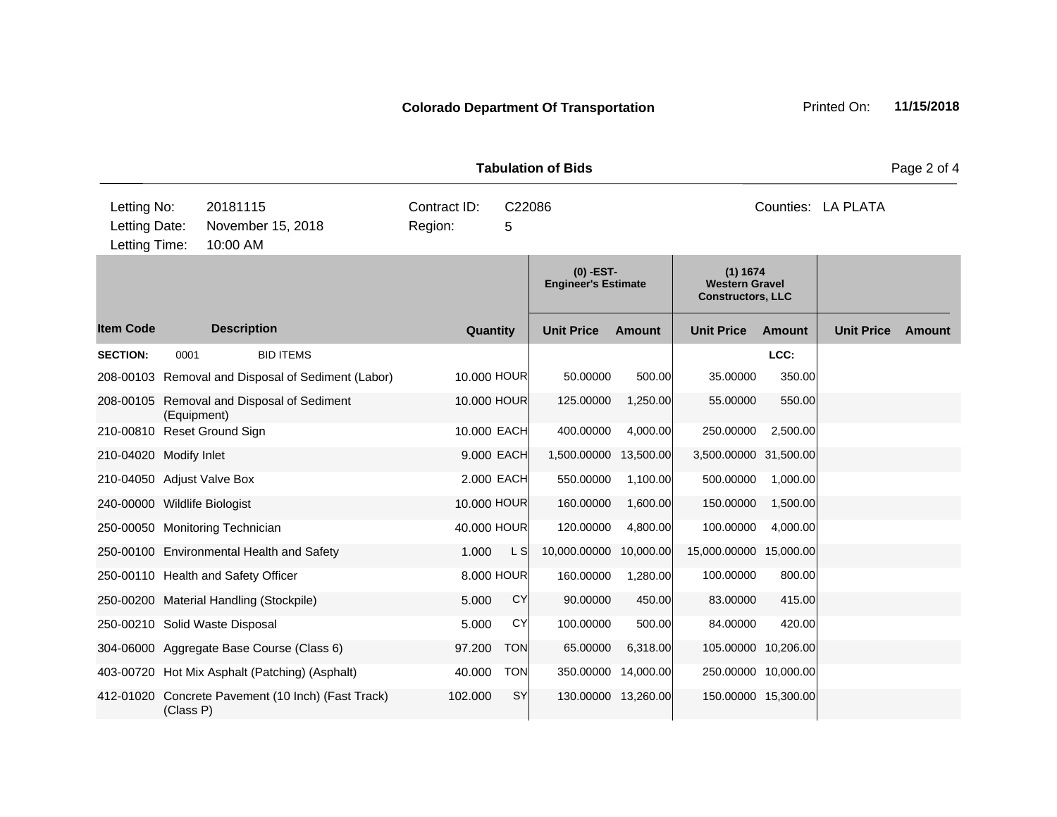**Quantity Unit Price Unit Price Ext** Item Code Description Quantity Unit Price Amount Unit Price Amount Unit Price **Ext Unit Price Amount Ext Amount (0) -EST-Engineer's Estimate (1) 1674 Western Gravel Constructors, LLC Description SECTION:** 0001 BID ITEMS **LCC:** 208-00103 Removal and Disposal of Sediment (Labor) 10.000 HOUR 50.00000 500.00 35.00000 350.00 208-00105 Removal and Disposal of Sediment (Equipment) 10.000 HOUR 125.00000 1,250.00 55.00000 550.00 210-00810 Reset Ground Sign 10.000 EACH 400.00000 4,000.00 250.00000 2,500.00 210-04020 Modify Inlet 9.000 EACH 1,500.00000 13,500.00 3,500.00000 31,500.00 210-04050 Adjust Valve Box 2.000 EACH 550.00000 1,100.00 500.00000 1,000.00 240-00000 Wildlife Biologist 10.000 HOUR 160.00000 1,600.00 150.00000 1,500.00 250-00050 Monitoring Technician 40.000 HOUR 120.00000 4,800.00 100.00000 4,000.00 250-00100 Environmental Health and Safety 1.000 L S 10,000.00000 10,000.00 15,000.0000 15,000.00 250-00110 Health and Safety Officer 8.000 HOUR 160.00000 1,280.00 100.00000 800.00 250-00200 Material Handling (Stockpile) 5.000 CY 90.00000 450.00 83.00000 415.00 250-00210 Solid Waste Disposal 5.000 CY 100.00000 500.00 84.00000 420.00 304-06000 Aggregate Base Course (Class 6) 97.200 TON 65.00000 6,318.00 105.00000 10,206.00 403-00720 Hot Mix Asphalt (Patching) (Asphalt) 40.000 TON 350.00000 14,000.00 250.00000 10,000.00 412-01020 Concrete Pavement (10 Inch) (Fast Track) (Class P) 102.000 SY 130.00000 13,260.00 150.00000 15,300.00 **Tabulation of Bids** Page 2 of 4 10:00 AM Counties: LA PLATA Letting Date: November 15, 2018 Region: 5 C22086 Region: Letting Time: Letting No: 20181115 Contract ID: C22086 Counties: Counties: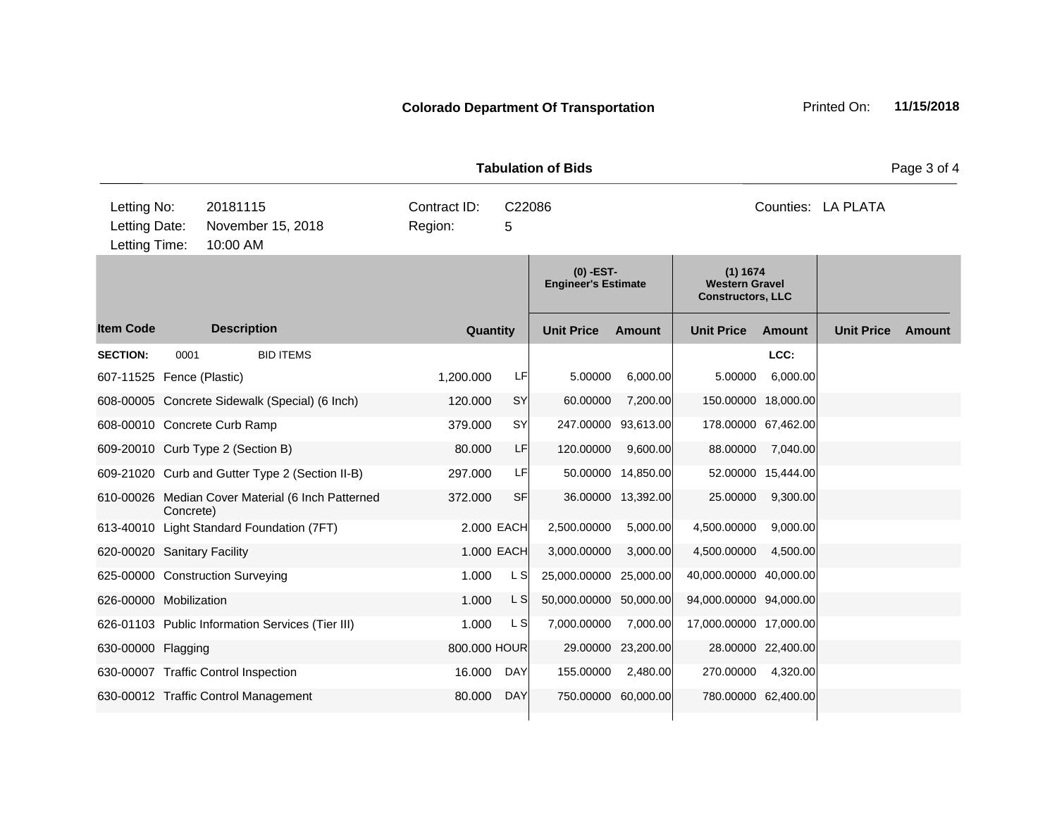**Quantity Unit Price Unit Price Item Code Amount Unit Price Amount Ext Ext Unit Price Amount Ext (0) -EST-Engineer's Estimate (1) 1674 Western Gravel Constructors, LLC Description SECTION:** 0001 BID ITEMS **LCC:** 607-11525 Fence (Plastic) 1,200.000 LF 5.00000 6,000.00 5.00000 6,000.00 608-00005 Concrete Sidewalk (Special) (6 Inch) 120.000 SY 60.00000 7,200.00 150.00000 18,000.00 608-00010 Concrete Curb Ramp 379.000 SY 247.00000 93,613.00 178.00000 67,462.00 609-20010 Curb Type 2 (Section B) 80.000 LF 120.00000 9,600.00 88.00000 7,040.00 609-21020 Curb and Gutter Type 2 (Section II-B) 297.000 LF 50.00000 14,850.00 52.00000 15,444.00 610-00026 Median Cover Material (6 Inch Patterned Concrete) 372.000 SF 36.00000 13,392.00 25.00000 9,300.00 613-40010 Light Standard Foundation (7FT) 2.000 EACH 2,500.00000 5,000.00 4,500.00000 9,000.00 620-00020 Sanitary Facility 1.000 EACH 3,000.00000 3,000.00 4,500.00000 4,500.00 625-00000 Construction Surveying 1.000 L S 25,000.00000 25,000.00 40,000.00000 40,000.00 626-00000 Mobilization 1.000 L S 50,000.00000 50,000.00 94,000.00000 94,000.00 626-01103 Public Information Services (Tier III) 1.000 L S 7,000.00000 7,000.00 17,000.00000 17,000.00 630-00000 Flagging 800.000 HOUR 29.00000 23,200.00 28.00000 22,400.00 630-00007 Traffic Control Inspection 16.000 DAY 155.00000 2,480.00 270.00000 4,320.00 630-00012 Traffic Control Management 80.000 DAY 750.00000 60,000.00 780.00000 62,400.00 **Tabulation of Bids** Page 3 of 4 10:00 AM Counties: LA PLATA Letting Date: November 15, 2018 Region: 5 C22086 Region: Letting Time: Letting No: 20181115 Contract ID: C22086 Counties: Counties: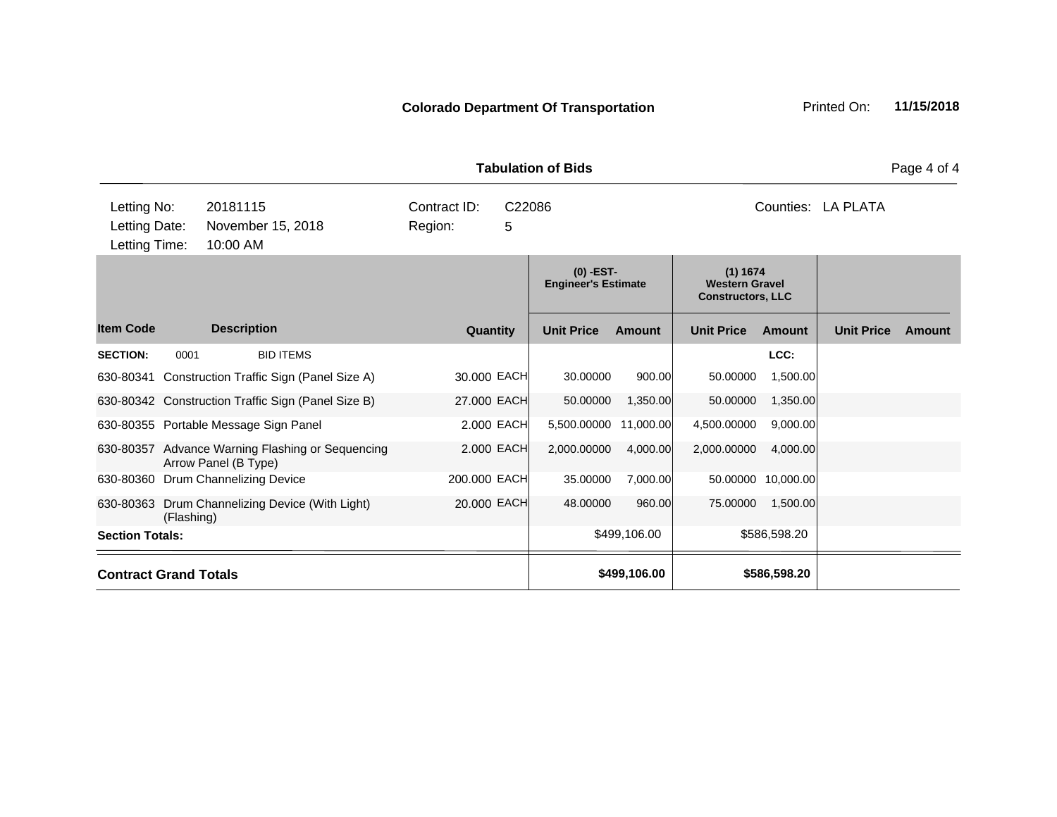| Letting No:<br>Letting Date:<br>Letting Time: |            | 20181115<br>November 15, 2018<br>10:00 AM                                | Contract ID:<br>Region: | C22086<br>5                               |                   |                                                               |                   |               | Counties: LA PLATA |               |
|-----------------------------------------------|------------|--------------------------------------------------------------------------|-------------------------|-------------------------------------------|-------------------|---------------------------------------------------------------|-------------------|---------------|--------------------|---------------|
|                                               |            |                                                                          |                         | $(0)$ -EST-<br><b>Engineer's Estimate</b> |                   | (1) 1674<br><b>Western Gravel</b><br><b>Constructors, LLC</b> |                   |               |                    |               |
| <b>Item Code</b>                              |            | <b>Description</b>                                                       | <b>Quantity</b>         |                                           | <b>Unit Price</b> | <b>Amount</b>                                                 | <b>Unit Price</b> | <b>Amount</b> | <b>Unit Price</b>  | <b>Amount</b> |
| <b>SECTION:</b>                               | 0001       | <b>BID ITEMS</b>                                                         |                         |                                           |                   |                                                               |                   | LCC:          |                    |               |
|                                               |            | 630-80341 Construction Traffic Sign (Panel Size A)                       | 30.000 EACH             |                                           | 30.00000          | 900.00                                                        | 50.00000          | 1,500.00      |                    |               |
|                                               |            | 630-80342 Construction Traffic Sign (Panel Size B)                       | 27.000 EACH             |                                           | 50.00000          | 1,350.00                                                      | 50.00000          | 1,350.00      |                    |               |
|                                               |            | 630-80355 Portable Message Sign Panel                                    |                         | 2.000 EACH                                | 5,500.00000       | 11,000.00                                                     | 4,500.00000       | 9,000.00      |                    |               |
|                                               |            | 630-80357 Advance Warning Flashing or Sequencing<br>Arrow Panel (B Type) |                         | 2.000 EACH                                | 2,000.00000       | 4,000.00                                                      | 2,000.00000       | 4,000.00      |                    |               |
|                                               |            | 630-80360 Drum Channelizing Device                                       | 200.000 EACH            |                                           | 35.00000          | 7,000.00                                                      | 50.00000          | 10,000.00     |                    |               |
|                                               | (Flashing) | 630-80363 Drum Channelizing Device (With Light)                          | 20.000 EACH             |                                           | 48.00000          | 960.00                                                        | 75.00000          | 1,500.00      |                    |               |
| <b>Section Totals:</b>                        |            |                                                                          |                         |                                           |                   | \$499,106.00                                                  |                   | \$586,598.20  |                    |               |
| <b>Contract Grand Totals</b>                  |            |                                                                          |                         |                                           |                   | \$499,106.00                                                  |                   | \$586,598.20  |                    |               |

**Tabulation of Bids Page 4 of 4**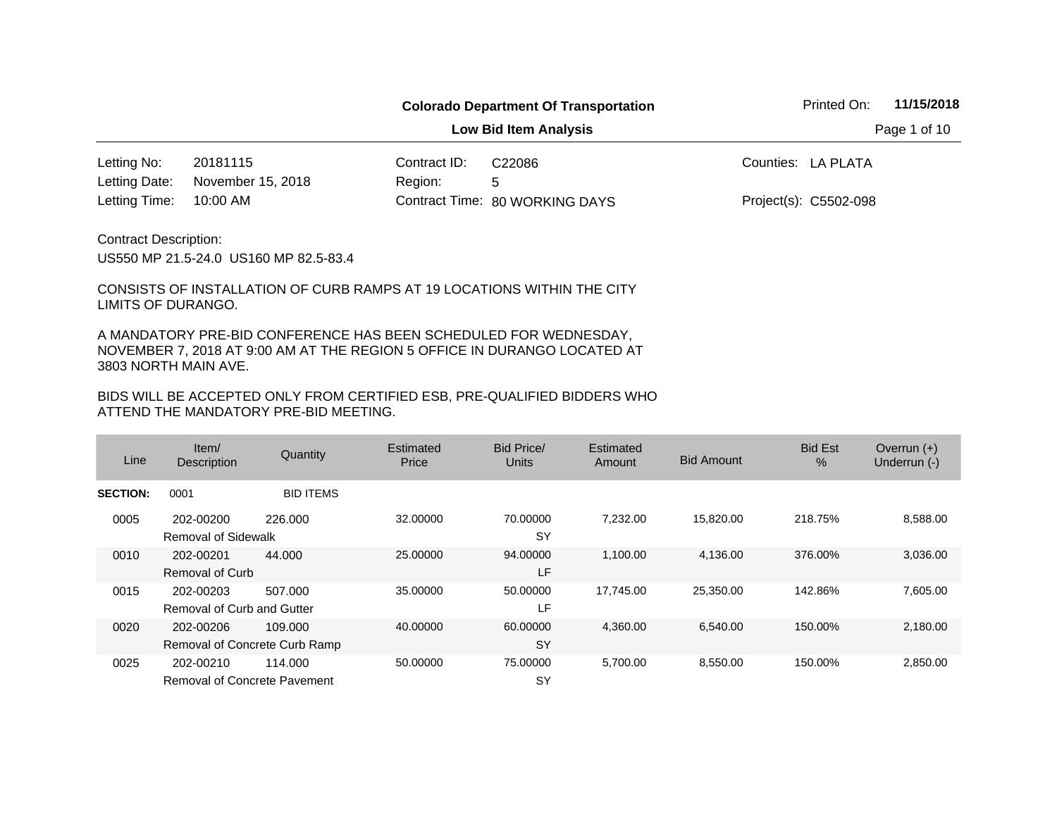**Low Bid Item Analysis Page 1 of 10** 

20181115 Contract ID: 10:00 AM Region: 5 Letting No: 20181115 (Contract ID: C22086 The Counties: LA PLATA 80 WORKING DAYS Letting Time: Contract Time:November 15, 2018 Project(s): C5502-098 Letting Date: C22086

Contract Description:

US550 MP 21.5-24.0 US160 MP 82.5-83.4

CONSISTS OF INSTALLATION OF CURB RAMPS AT 19 LOCATIONS WITHIN THE CITY LIMITS OF DURANGO.

A MANDATORY PRE-BID CONFERENCE HAS BEEN SCHEDULED FOR WEDNESDAY, NOVEMBER 7, 2018 AT 9:00 AM AT THE REGION 5 OFFICE IN DURANGO LOCATED AT 3803 NORTH MAIN AVE.

| Line            | Item/<br><b>Description</b>                      | Quantity         | Estimated<br>Price | Bid Price/<br>Units   | Estimated<br>Amount | <b>Bid Amount</b> | <b>Bid Est</b><br>$\%$ | Overrun $(+)$<br>Underrun (-) |
|-----------------|--------------------------------------------------|------------------|--------------------|-----------------------|---------------------|-------------------|------------------------|-------------------------------|
| <b>SECTION:</b> | 0001                                             | <b>BID ITEMS</b> |                    |                       |                     |                   |                        |                               |
| 0005            | 202-00200<br>Removal of Sidewalk                 | 226,000          | 32,00000           | 70.00000<br><b>SY</b> | 7,232.00            | 15,820.00         | 218.75%                | 8,588.00                      |
| 0010            | 202-00201<br><b>Removal of Curb</b>              | 44.000           | 25.00000           | 94.00000<br>LF        | 1,100.00            | 4,136.00          | 376.00%                | 3,036.00                      |
| 0015            | 202-00203<br>Removal of Curb and Gutter          | 507.000          | 35,00000           | 50.00000<br>LF        | 17.745.00           | 25,350.00         | 142.86%                | 7,605.00                      |
| 0020            | 202-00206<br>Removal of Concrete Curb Ramp       | 109,000          | 40.00000           | 60,00000<br><b>SY</b> | 4,360.00            | 6,540.00          | 150.00%                | 2,180.00                      |
| 0025            | 202-00210<br><b>Removal of Concrete Pavement</b> | 114.000          | 50.00000           | 75,00000<br><b>SY</b> | 5,700.00            | 8,550.00          | 150.00%                | 2,850.00                      |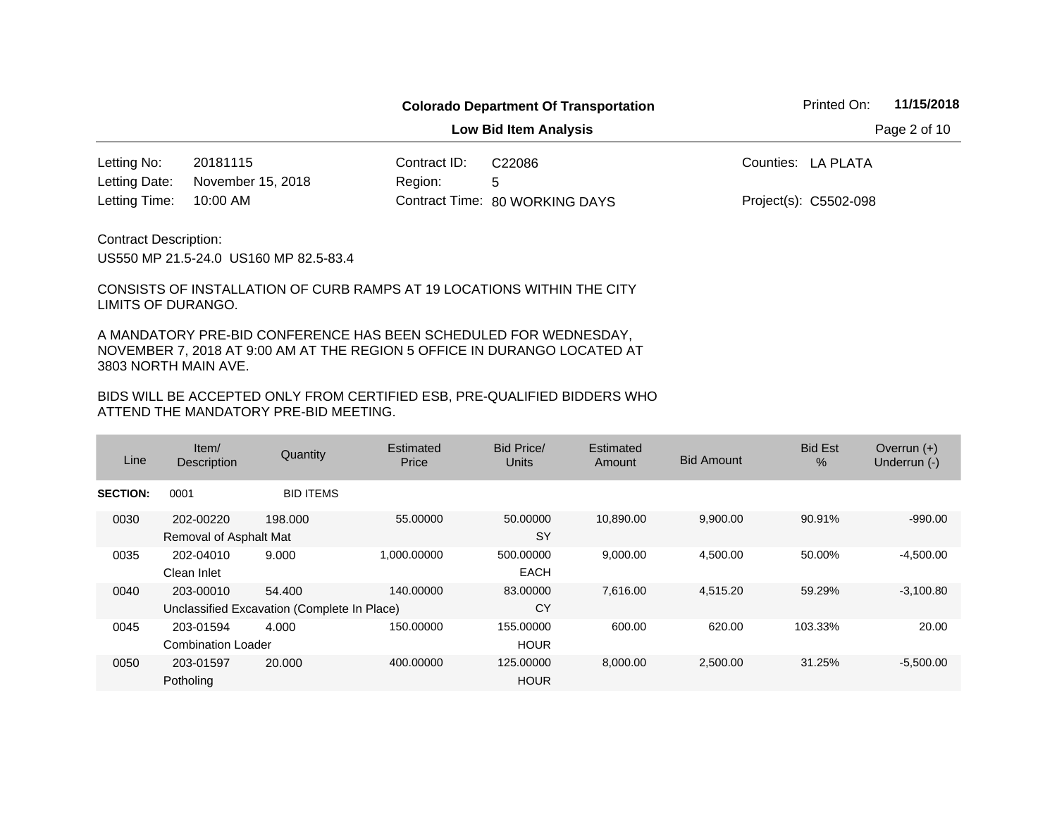**Low Bid Item Analysis Page 2 of 10** 

20181115 Contract ID: 10:00 AM Letting No: 20181115 (Contract ID: C22086 The Counties: LA PLATA November 15, 2018 Letting Date:

Region: 5 80 WORKING DAYS Letting Time: Contract Time:C22086

Project(s): C5502-098

Contract Description:

US550 MP 21.5-24.0 US160 MP 82.5-83.4

CONSISTS OF INSTALLATION OF CURB RAMPS AT 19 LOCATIONS WITHIN THE CITY LIMITS OF DURANGO.

A MANDATORY PRE-BID CONFERENCE HAS BEEN SCHEDULED FOR WEDNESDAY, NOVEMBER 7, 2018 AT 9:00 AM AT THE REGION 5 OFFICE IN DURANGO LOCATED AT 3803 NORTH MAIN AVE.

| Line            | Item/<br><b>Description</b>            | Quantity                                              | Estimated<br>Price | Bid Price/<br>Units      | Estimated<br>Amount | <b>Bid Amount</b> | <b>Bid Est</b><br>% | Overrun $(+)$<br>Underrun (-) |
|-----------------|----------------------------------------|-------------------------------------------------------|--------------------|--------------------------|---------------------|-------------------|---------------------|-------------------------------|
| <b>SECTION:</b> | 0001                                   | <b>BID ITEMS</b>                                      |                    |                          |                     |                   |                     |                               |
| 0030            | 202-00220<br>Removal of Asphalt Mat    | 198,000                                               | 55.00000           | 50,00000<br><b>SY</b>    | 10.890.00           | 9,900.00          | 90.91%              | $-990.00$                     |
| 0035            | 202-04010<br>Clean Inlet               | 9.000                                                 | 1.000.00000        | 500.00000<br><b>EACH</b> | 9,000.00            | 4,500.00          | 50.00%              | $-4,500.00$                   |
| 0040            | 203-00010                              | 54.400<br>Unclassified Excavation (Complete In Place) | 140.00000          | 83,00000<br>CY           | 7,616.00            | 4,515.20          | 59.29%              | $-3,100.80$                   |
| 0045            | 203-01594<br><b>Combination Loader</b> | 4.000                                                 | 150.00000          | 155,00000<br><b>HOUR</b> | 600.00              | 620.00            | 103.33%             | 20.00                         |
| 0050            | 203-01597<br>Potholing                 | 20,000                                                | 400.00000          | 125,00000<br><b>HOUR</b> | 8,000.00            | 2,500.00          | 31.25%              | $-5,500.00$                   |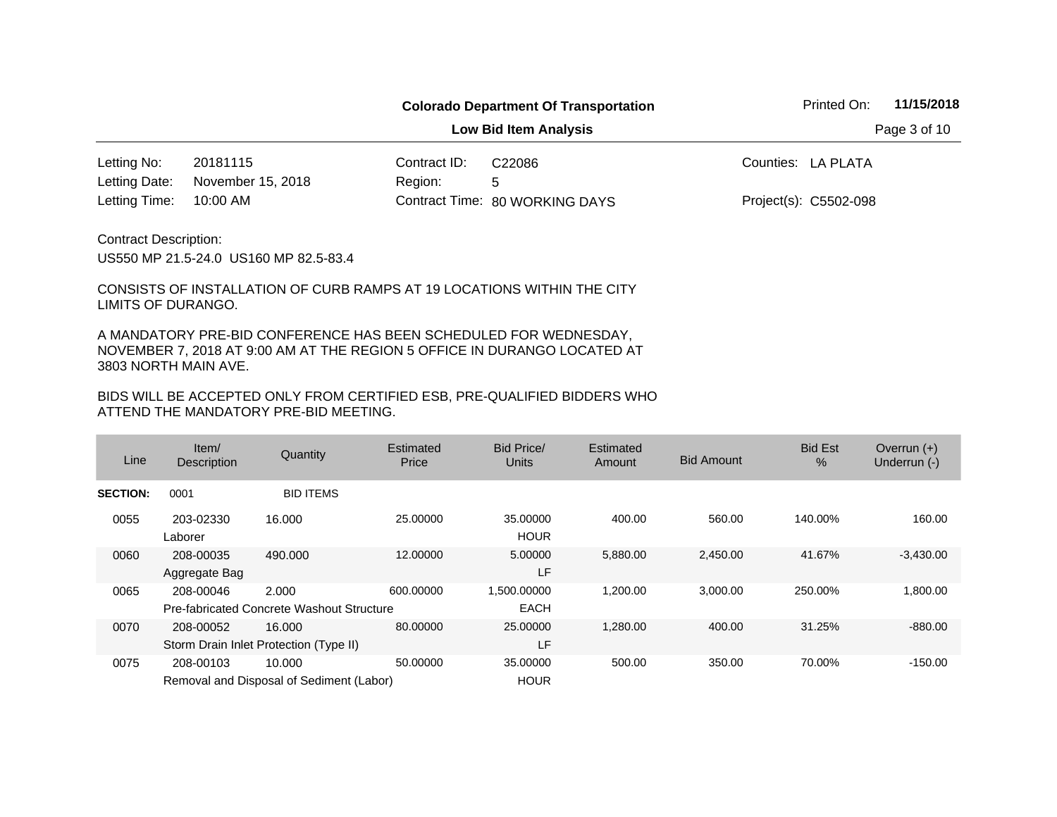**Low Bid Item Analysis Page 3 of 10** 

20181115 Contract ID: 10:00 AM Region: 5 Letting No: 20181115 (Contract ID: C22086 The Counties: LA PLATA 80 WORKING DAYS Letting Time: Contract Time:November 15, 2018 Project(s): C5502-098 Letting Date: C22086

Contract Description:

US550 MP 21.5-24.0 US160 MP 82.5-83.4

CONSISTS OF INSTALLATION OF CURB RAMPS AT 19 LOCATIONS WITHIN THE CITY LIMITS OF DURANGO.

A MANDATORY PRE-BID CONFERENCE HAS BEEN SCHEDULED FOR WEDNESDAY, NOVEMBER 7, 2018 AT 9:00 AM AT THE REGION 5 OFFICE IN DURANGO LOCATED AT 3803 NORTH MAIN AVE.

| Line            | Item/<br><b>Description</b> | Quantity                                           | Estimated<br>Price | Bid Price/<br>Units        | Estimated<br>Amount | <b>Bid Amount</b> | <b>Bid Est</b><br>% | Overrun $(+)$<br>Underrun (-) |
|-----------------|-----------------------------|----------------------------------------------------|--------------------|----------------------------|---------------------|-------------------|---------------------|-------------------------------|
| <b>SECTION:</b> | 0001                        | <b>BID ITEMS</b>                                   |                    |                            |                     |                   |                     |                               |
| 0055            | 203-02330<br>Laborer        | 16.000                                             | 25.00000           | 35,00000<br><b>HOUR</b>    | 400.00              | 560.00            | 140.00%             | 160.00                        |
| 0060            | 208-00035<br>Aggregate Bag  | 490.000                                            | 12.00000           | 5.00000<br>LF              | 5,880.00            | 2,450.00          | 41.67%              | $-3,430.00$                   |
| 0065            | 208-00046                   | 2.000<br>Pre-fabricated Concrete Washout Structure | 600.00000          | 1,500.00000<br><b>EACH</b> | 1,200.00            | 3,000.00          | 250.00%             | 1,800.00                      |
| 0070            | 208-00052                   | 16.000<br>Storm Drain Inlet Protection (Type II)   | 80.00000           | 25,00000<br>LF             | 1,280.00            | 400.00            | 31.25%              | $-880.00$                     |
| 0075            | 208-00103                   | 10.000<br>Removal and Disposal of Sediment (Labor) | 50.00000           | 35,00000<br><b>HOUR</b>    | 500.00              | 350.00            | 70.00%              | $-150.00$                     |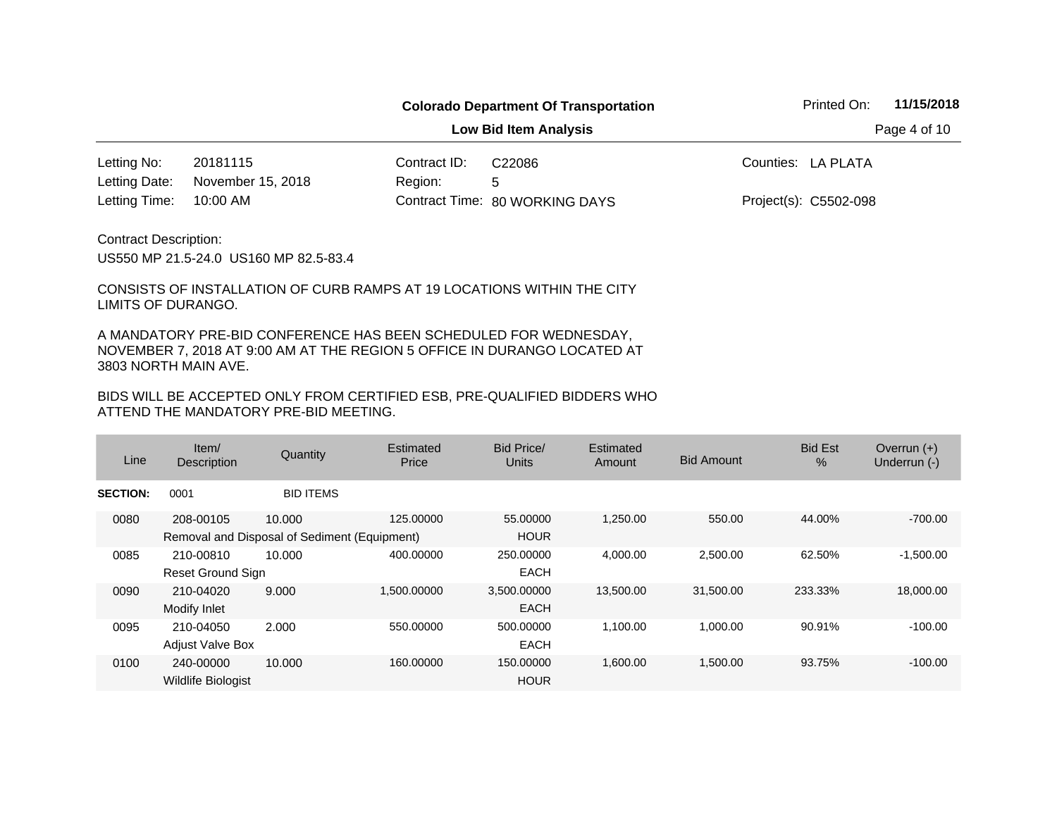**Low Bid Item Analysis Page 4 of 10** 

20181115 Contract ID: 10:00 AM Letting No: 20181115 (Contract ID: C22086 The Counties: LA PLATA 80 WORKING DAYS Letting Time: Contract Time:November 15, 2018 Letting Date:

Region: 5 C22086

Project(s): C5502-098

Contract Description:

US550 MP 21.5-24.0 US160 MP 82.5-83.4

CONSISTS OF INSTALLATION OF CURB RAMPS AT 19 LOCATIONS WITHIN THE CITY LIMITS OF DURANGO.

A MANDATORY PRE-BID CONFERENCE HAS BEEN SCHEDULED FOR WEDNESDAY, NOVEMBER 7, 2018 AT 9:00 AM AT THE REGION 5 OFFICE IN DURANGO LOCATED AT 3803 NORTH MAIN AVE.

| Line            | Item/<br><b>Description</b>                               | Quantity         | Estimated<br>Price | <b>Bid Price/</b><br><b>Units</b> | Estimated<br>Amount | <b>Bid Amount</b> | <b>Bid Est</b><br>$\%$ | Overrun $(+)$<br>Underrun (-) |
|-----------------|-----------------------------------------------------------|------------------|--------------------|-----------------------------------|---------------------|-------------------|------------------------|-------------------------------|
| <b>SECTION:</b> | 0001                                                      | <b>BID ITEMS</b> |                    |                                   |                     |                   |                        |                               |
| 0080            | 208-00105<br>Removal and Disposal of Sediment (Equipment) | 10.000           | 125.00000          | 55,00000<br><b>HOUR</b>           | 1,250.00            | 550.00            | 44.00%                 | $-700.00$                     |
| 0085            | 210-00810<br><b>Reset Ground Sign</b>                     | 10.000           | 400.00000          | 250.00000<br><b>EACH</b>          | 4,000.00            | 2,500.00          | 62.50%                 | $-1,500.00$                   |
| 0090            | 210-04020<br>Modify Inlet                                 | 9.000            | 1,500.00000        | 3,500.00000<br><b>EACH</b>        | 13,500.00           | 31,500.00         | 233.33%                | 18,000.00                     |
| 0095            | 210-04050<br><b>Adjust Valve Box</b>                      | 2.000            | 550.00000          | 500.00000<br><b>EACH</b>          | 1,100.00            | 1,000.00          | 90.91%                 | $-100.00$                     |
| 0100            | 240-00000<br><b>Wildlife Biologist</b>                    | 10.000           | 160.00000          | 150,00000<br><b>HOUR</b>          | 1,600.00            | 1,500.00          | 93.75%                 | $-100.00$                     |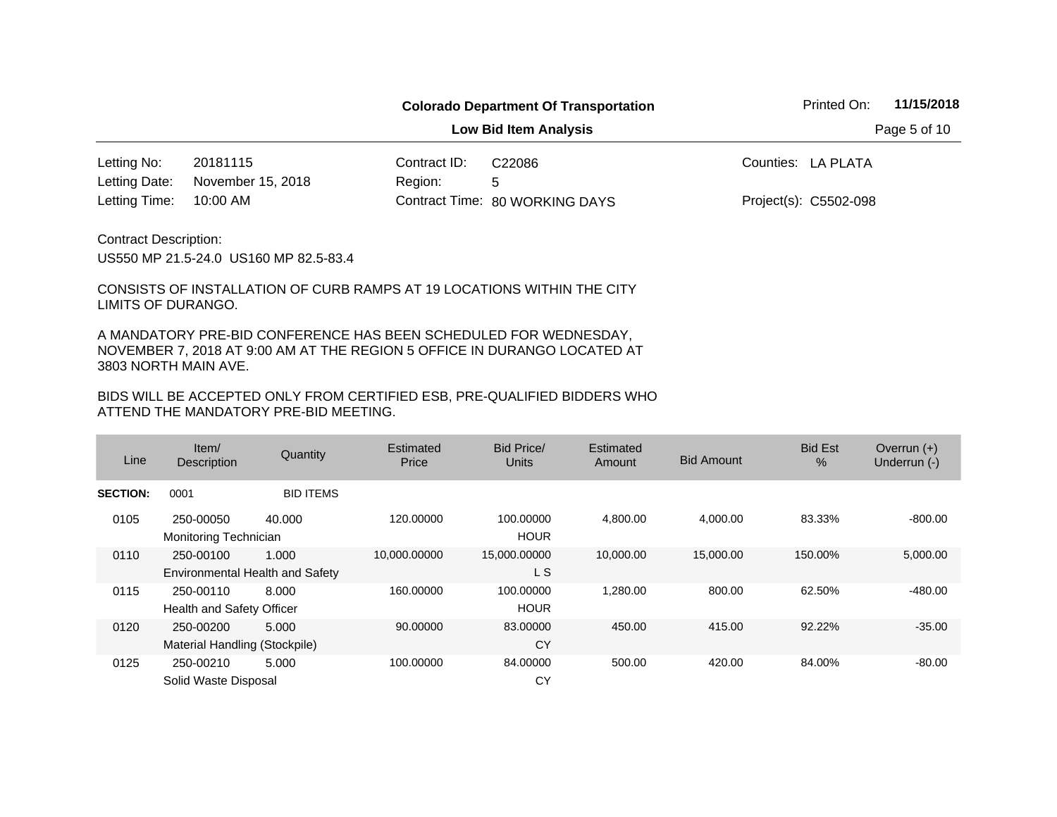**Low Bid Item Analysis Page 5 of 10** 

20181115 Contract ID: 10:00 AM Region: 5 Letting No: 20181115 (Contract ID: C22086 The Counties: LA PLATA 80 WORKING DAYS Letting Time: Contract Time:November 15, 2018 Project(s): C5502-098 Letting Date: C22086

Contract Description:

US550 MP 21.5-24.0 US160 MP 82.5-83.4

CONSISTS OF INSTALLATION OF CURB RAMPS AT 19 LOCATIONS WITHIN THE CITY LIMITS OF DURANGO.

A MANDATORY PRE-BID CONFERENCE HAS BEEN SCHEDULED FOR WEDNESDAY, NOVEMBER 7, 2018 AT 9:00 AM AT THE REGION 5 OFFICE IN DURANGO LOCATED AT 3803 NORTH MAIN AVE.

| Line            | Item $/$<br><b>Description</b>               | Quantity         | Estimated<br>Price | Bid Price/<br><b>Units</b> | Estimated<br>Amount | <b>Bid Amount</b> | <b>Bid Est</b><br>$\%$ | Overrun $(+)$<br>Underrun (-) |
|-----------------|----------------------------------------------|------------------|--------------------|----------------------------|---------------------|-------------------|------------------------|-------------------------------|
| <b>SECTION:</b> | 0001                                         | <b>BID ITEMS</b> |                    |                            |                     |                   |                        |                               |
| 0105            | 250-00050<br>Monitoring Technician           | 40.000           | 120.00000          | 100.00000<br><b>HOUR</b>   | 4.800.00            | 4.000.00          | 83.33%                 | $-800.00$                     |
| 0110            | 250-00100<br>Environmental Health and Safety | 1.000            | 10,000.00000       | 15,000.00000<br>L S        | 10,000.00           | 15,000.00         | 150.00%                | 5,000.00                      |
| 0115            | 250-00110<br>Health and Safety Officer       | 8.000            | 160.00000          | 100.00000<br><b>HOUR</b>   | 1,280.00            | 800.00            | 62.50%                 | $-480.00$                     |
| 0120            | 250-00200<br>Material Handling (Stockpile)   | 5.000            | 90.00000           | 83.00000<br>CY             | 450.00              | 415.00            | 92.22%                 | $-35.00$                      |
| 0125            | 250-00210<br>Solid Waste Disposal            | 5.000            | 100.00000          | 84.00000<br>CY             | 500.00              | 420.00            | 84.00%                 | $-80.00$                      |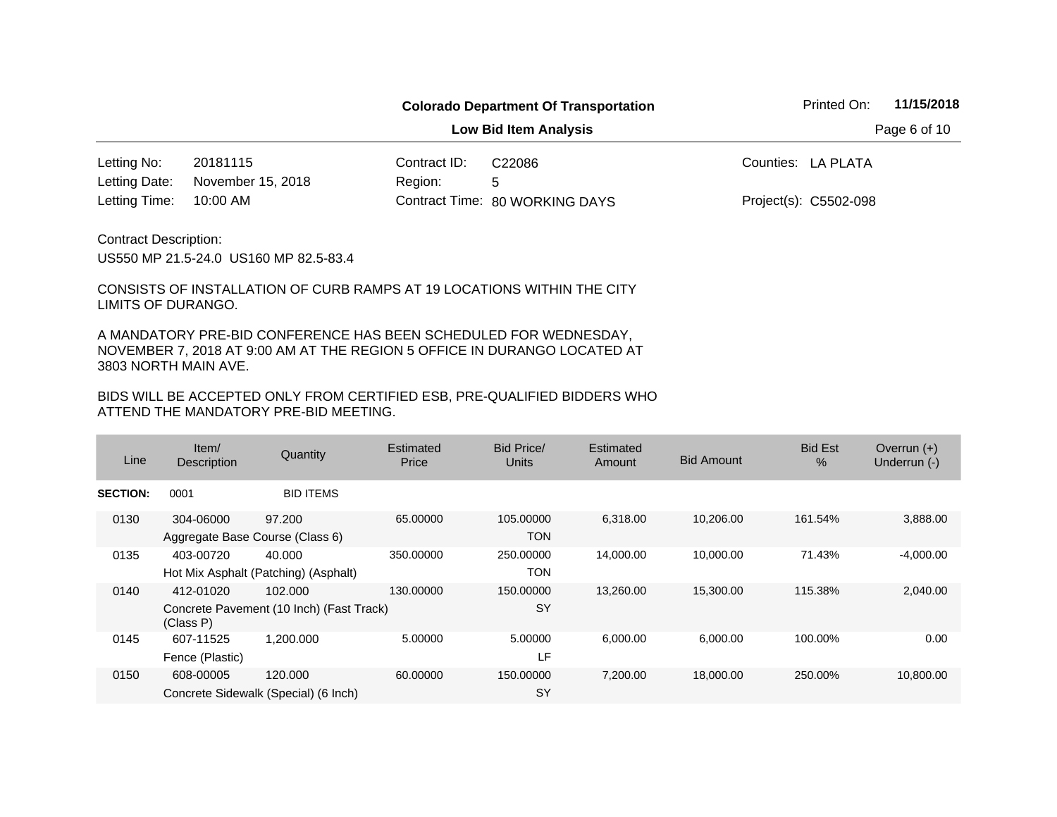**Low Bid Item Analysis Page 6 of 10** 

20181115 Contract ID: 10:00 AM Region: 5 Letting No: 20181115 (Contract ID: C22086 The Counties: LA PLATA 80 WORKING DAYS Letting Time: Contract Time:November 15, 2018 Project(s): C5502-098 Letting Date: C22086

Contract Description:

US550 MP 21.5-24.0 US160 MP 82.5-83.4

CONSISTS OF INSTALLATION OF CURB RAMPS AT 19 LOCATIONS WITHIN THE CITY LIMITS OF DURANGO.

A MANDATORY PRE-BID CONFERENCE HAS BEEN SCHEDULED FOR WEDNESDAY, NOVEMBER 7, 2018 AT 9:00 AM AT THE REGION 5 OFFICE IN DURANGO LOCATED AT 3803 NORTH MAIN AVE.

| Line            | Item/<br><b>Description</b>                  | Quantity                                            | Estimated<br>Price | Bid Price/<br>Units     | Estimated<br>Amount | <b>Bid Amount</b> | <b>Bid Est</b><br>% | Overrun $(+)$<br>Underrun (-) |
|-----------------|----------------------------------------------|-----------------------------------------------------|--------------------|-------------------------|---------------------|-------------------|---------------------|-------------------------------|
| <b>SECTION:</b> | 0001                                         | <b>BID ITEMS</b>                                    |                    |                         |                     |                   |                     |                               |
| 0130            | 304-06000<br>Aggregate Base Course (Class 6) | 97.200                                              | 65,00000           | 105.00000<br><b>TON</b> | 6,318.00            | 10,206.00         | 161.54%             | 3,888.00                      |
| 0135            | 403-00720                                    | 40.000<br>Hot Mix Asphalt (Patching) (Asphalt)      | 350,00000          | 250,00000<br>TON        | 14,000.00           | 10,000.00         | 71.43%              | $-4,000.00$                   |
| 0140            | 412-01020<br>(Class P)                       | 102.000<br>Concrete Pavement (10 Inch) (Fast Track) | 130,00000          | 150.00000<br><b>SY</b>  | 13.260.00           | 15,300.00         | 115.38%             | 2,040.00                      |
| 0145            | 607-11525<br>Fence (Plastic)                 | 1.200.000                                           | 5.00000            | 5.00000<br>LF           | 6,000.00            | 6,000.00          | 100.00%             | 0.00                          |
| 0150            | 608-00005                                    | 120,000<br>Concrete Sidewalk (Special) (6 Inch)     | 60.00000           | 150.00000<br><b>SY</b>  | 7,200.00            | 18,000.00         | 250.00%             | 10,800.00                     |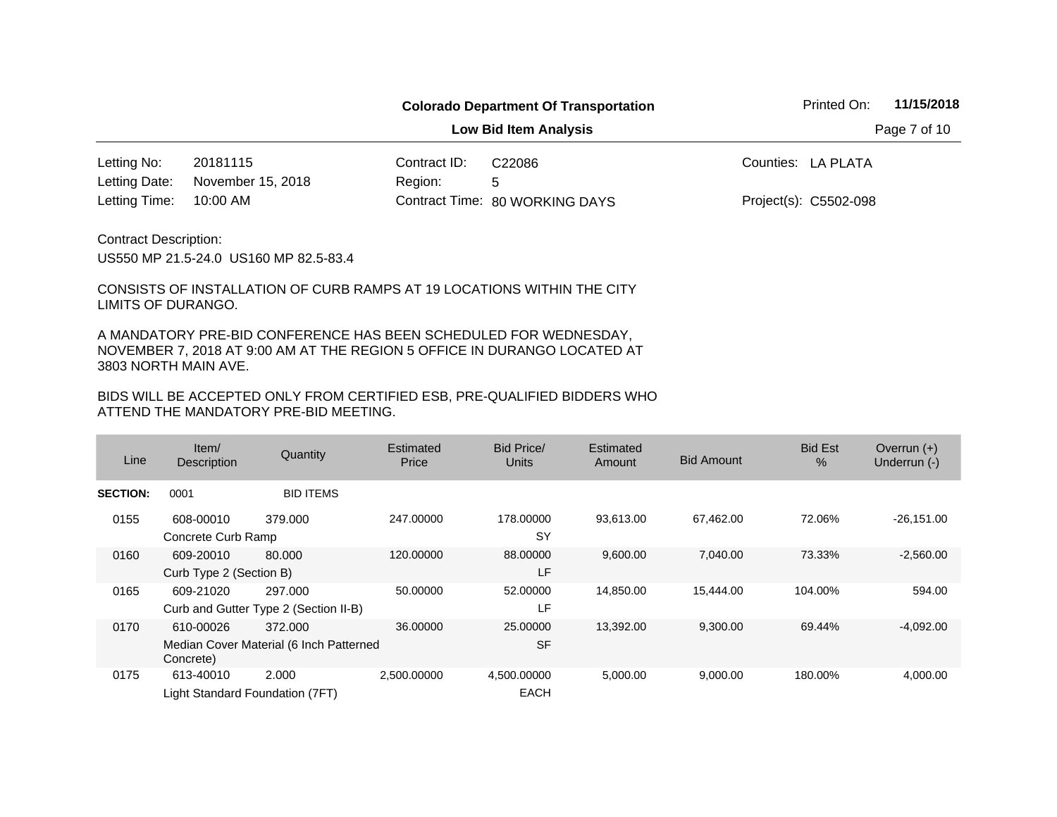**Low Bid Item Analysis Page 7 of 10** 

20181115 Contract ID: 10:00 AM Region: 5 Letting No: 20181115 (Contract ID: C22086 The Counties: LA PLATA 80 WORKING DAYS Letting Time: Contract Time:November 15, 2018 Project(s): C5502-098 Letting Date: C22086

Contract Description:

US550 MP 21.5-24.0 US160 MP 82.5-83.4

CONSISTS OF INSTALLATION OF CURB RAMPS AT 19 LOCATIONS WITHIN THE CITY LIMITS OF DURANGO.

A MANDATORY PRE-BID CONFERENCE HAS BEEN SCHEDULED FOR WEDNESDAY, NOVEMBER 7, 2018 AT 9:00 AM AT THE REGION 5 OFFICE IN DURANGO LOCATED AT 3803 NORTH MAIN AVE.

| Line            | Item/<br>Description                         | Quantity                                           | Estimated<br>Price | Bid Price/<br>Units        | Estimated<br>Amount | <b>Bid Amount</b> | <b>Bid Est</b><br>$\%$ | Overrun $(+)$<br>Underrun (-) |
|-----------------|----------------------------------------------|----------------------------------------------------|--------------------|----------------------------|---------------------|-------------------|------------------------|-------------------------------|
| <b>SECTION:</b> | 0001                                         | <b>BID ITEMS</b>                                   |                    |                            |                     |                   |                        |                               |
| 0155            | 608-00010<br>Concrete Curb Ramp              | 379.000                                            | 247.00000          | 178.00000<br>SY            | 93,613.00           | 67,462.00         | 72.06%                 | $-26,151.00$                  |
| 0160            | 609-20010<br>Curb Type 2 (Section B)         | 80.000                                             | 120,00000          | 88,00000<br>LF             | 9,600.00            | 7,040.00          | 73.33%                 | $-2,560.00$                   |
| 0165            | 609-21020                                    | 297.000<br>Curb and Gutter Type 2 (Section II-B)   | 50.00000           | 52,00000<br>LF             | 14,850.00           | 15,444.00         | 104.00%                | 594.00                        |
| 0170            | 610-00026<br>Concrete)                       | 372,000<br>Median Cover Material (6 Inch Patterned | 36,00000           | 25,00000<br><b>SF</b>      | 13,392.00           | 9,300.00          | 69.44%                 | $-4,092.00$                   |
| 0175            | 613-40010<br>Light Standard Foundation (7FT) | 2.000                                              | 2,500.00000        | 4,500.00000<br><b>EACH</b> | 5,000.00            | 9,000.00          | 180.00%                | 4,000.00                      |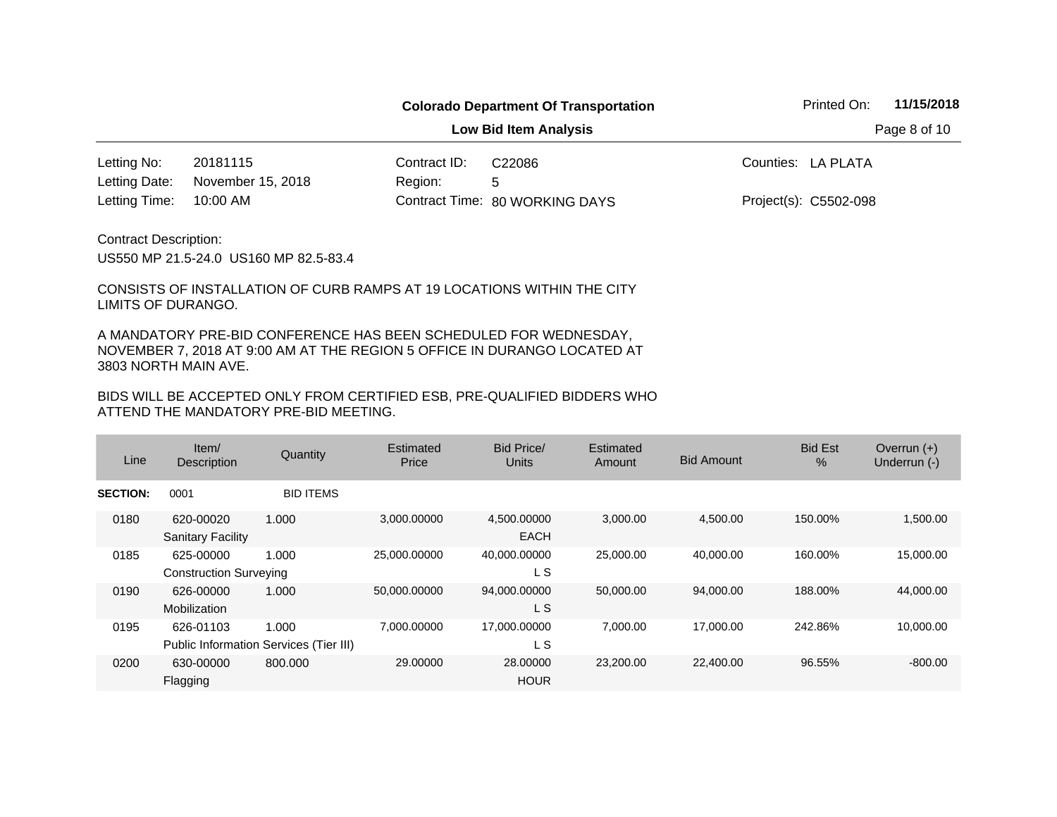**Low Bid Item Analysis Page 8 of 10** 

20181115 Contract ID: 10:00 AM Letting No: 20181115 (Contract ID: C22086 The Counties: LA PLATA November 15, 2018 Letting Date:

Region: 5 80 WORKING DAYS Letting Time: Contract Time:C22086

Project(s): C5502-098

Contract Description:

US550 MP 21.5-24.0 US160 MP 82.5-83.4

CONSISTS OF INSTALLATION OF CURB RAMPS AT 19 LOCATIONS WITHIN THE CITY LIMITS OF DURANGO.

A MANDATORY PRE-BID CONFERENCE HAS BEEN SCHEDULED FOR WEDNESDAY, NOVEMBER 7, 2018 AT 9:00 AM AT THE REGION 5 OFFICE IN DURANGO LOCATED AT 3803 NORTH MAIN AVE.

| Line            | Item/<br><b>Description</b>                | Quantity                                        | Estimated<br>Price | <b>Bid Price/</b><br><b>Units</b> | Estimated<br>Amount | <b>Bid Amount</b> | <b>Bid Est</b><br>$\%$ | Overrun $(+)$<br>Underrun (-) |
|-----------------|--------------------------------------------|-------------------------------------------------|--------------------|-----------------------------------|---------------------|-------------------|------------------------|-------------------------------|
| <b>SECTION:</b> | 0001                                       | <b>BID ITEMS</b>                                |                    |                                   |                     |                   |                        |                               |
| 0180            | 620-00020<br><b>Sanitary Facility</b>      | 1.000                                           | 3,000.00000        | 4,500.00000<br><b>EACH</b>        | 3,000.00            | 4,500.00          | 150.00%                | 1,500.00                      |
| 0185            | 625-00000<br><b>Construction Surveying</b> | 1.000                                           | 25,000.00000       | 40,000.00000<br>L S               | 25,000.00           | 40,000.00         | 160.00%                | 15,000.00                     |
| 0190            | 626-00000<br>Mobilization                  | 1.000                                           | 50,000.00000       | 94,000.00000<br>L S               | 50,000.00           | 94,000.00         | 188.00%                | 44,000.00                     |
| 0195            | 626-01103                                  | 1.000<br>Public Information Services (Tier III) | 7,000.00000        | 17,000.00000<br>L S               | 7,000.00            | 17,000.00         | 242.86%                | 10,000.00                     |
| 0200            | 630-00000<br>Flagging                      | 800,000                                         | 29,00000           | 28,00000<br><b>HOUR</b>           | 23,200.00           | 22,400.00         | 96.55%                 | $-800.00$                     |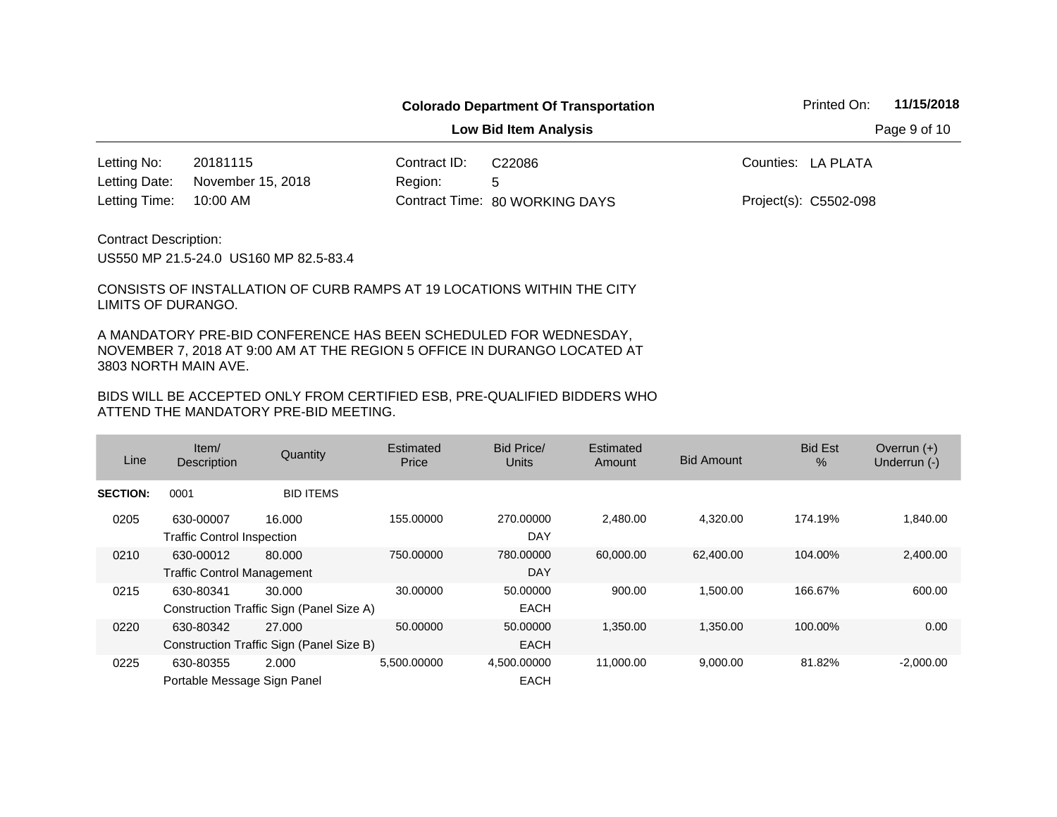**Low Bid Item Analysis Page 9 of 10** 

20181115 Contract ID: 10:00 AM Region: 5 Letting No: 20181115 (Contract ID: C22086 The Counties: LA PLATA 80 WORKING DAYS Letting Time: Contract Time:November 15, 2018 Project(s): C5502-098 Letting Date: C22086

Contract Description:

US550 MP 21.5-24.0 US160 MP 82.5-83.4

CONSISTS OF INSTALLATION OF CURB RAMPS AT 19 LOCATIONS WITHIN THE CITY LIMITS OF DURANGO.

A MANDATORY PRE-BID CONFERENCE HAS BEEN SCHEDULED FOR WEDNESDAY, NOVEMBER 7, 2018 AT 9:00 AM AT THE REGION 5 OFFICE IN DURANGO LOCATED AT 3803 NORTH MAIN AVE.

| Line            | Item/<br><b>Description</b>                    | Quantity                                           | Estimated<br>Price | Bid Price/<br>Units        | Estimated<br>Amount | <b>Bid Amount</b> | <b>Bid Est</b><br>$\%$ | Overrun $(+)$<br>Underrun (-) |
|-----------------|------------------------------------------------|----------------------------------------------------|--------------------|----------------------------|---------------------|-------------------|------------------------|-------------------------------|
| <b>SECTION:</b> | 0001                                           | <b>BID ITEMS</b>                                   |                    |                            |                     |                   |                        |                               |
| 0205            | 630-00007<br><b>Traffic Control Inspection</b> | 16.000                                             | 155.00000          | 270,00000<br>DAY           | 2.480.00            | 4.320.00          | 174.19%                | 1,840.00                      |
| 0210            | 630-00012<br><b>Traffic Control Management</b> | 80,000                                             | 750,00000          | 780,00000<br>DAY           | 60,000.00           | 62,400.00         | 104.00%                | 2,400.00                      |
| 0215            | 630-80341                                      | 30.000<br>Construction Traffic Sign (Panel Size A) | 30.00000           | 50.00000<br><b>EACH</b>    | 900.00              | 1.500.00          | 166.67%                | 600.00                        |
| 0220            | 630-80342                                      | 27,000<br>Construction Traffic Sign (Panel Size B) | 50.00000           | 50,00000<br><b>EACH</b>    | 1,350.00            | 1,350.00          | 100.00%                | 0.00                          |
| 0225            | 630-80355<br>Portable Message Sign Panel       | 2.000                                              | 5.500.00000        | 4,500.00000<br><b>EACH</b> | 11,000.00           | 9,000.00          | 81.82%                 | $-2,000.00$                   |